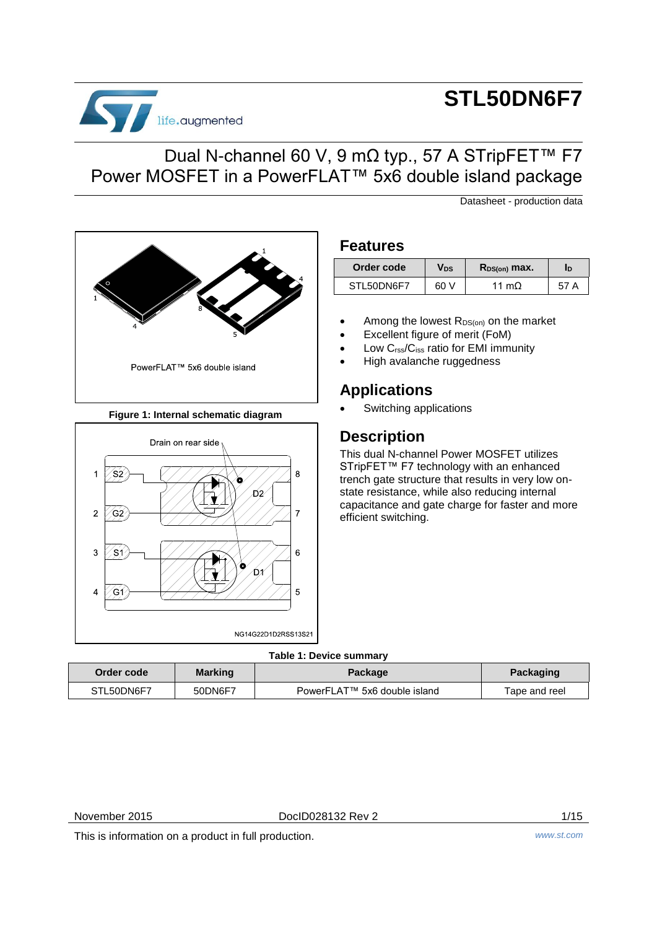

# **STL50DN6F7**

# Dual N-channel 60 V, 9 mΩ typ., 57 A STripFET™ F7 Power MOSFET in a PowerFLAT™ 5x6 double island package

Datasheet - production data



## **Figure 1: Internal schematic diagram**



## **Features**

| Order code | Vds  | $R_{DS(on)}$ max. | In |
|------------|------|-------------------|----|
| STL50DN6F7 | 60 V | 11 $mO$           | А  |

- Among the lowest R<sub>DS(on)</sub> on the market
- Excellent figure of merit (FoM)
- Low Crss/Ciss ratio for EMI immunity
- High avalanche ruggedness

# **Applications**

Switching applications

# **Description**

This dual N-channel Power MOSFET utilizes STripFET<sup>™</sup> F7 technology with an enhanced trench gate structure that results in very low onstate resistance, while also reducing internal capacitance and gate charge for faster and more efficient switching.

## **Table 1: Device summary**

| Order code | <b>Marking</b> | Package                      | Packaging     |
|------------|----------------|------------------------------|---------------|
| STL50DN6F7 | 50DN6F7        | PowerFLAT™ 5x6 double island | Tape and reel |

November 2015 DocID028132 Rev 2 1/15

This is information on a product in full production. *www.st.com*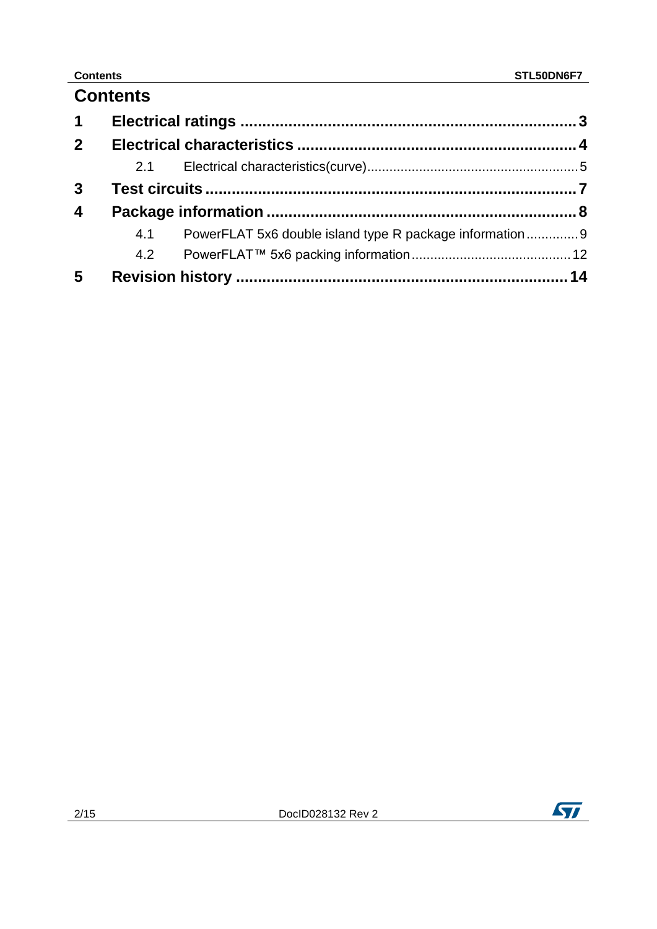# **Contents**

| $\mathbf 1$             |     |                                                         |  |
|-------------------------|-----|---------------------------------------------------------|--|
| 2 <sup>1</sup>          |     |                                                         |  |
|                         | 2.1 |                                                         |  |
| $\mathbf{3}$            |     |                                                         |  |
| $\overline{\mathbf{4}}$ |     |                                                         |  |
|                         | 4.1 | PowerFLAT 5x6 double island type R package information9 |  |
|                         | 4.2 |                                                         |  |
| 5                       |     |                                                         |  |



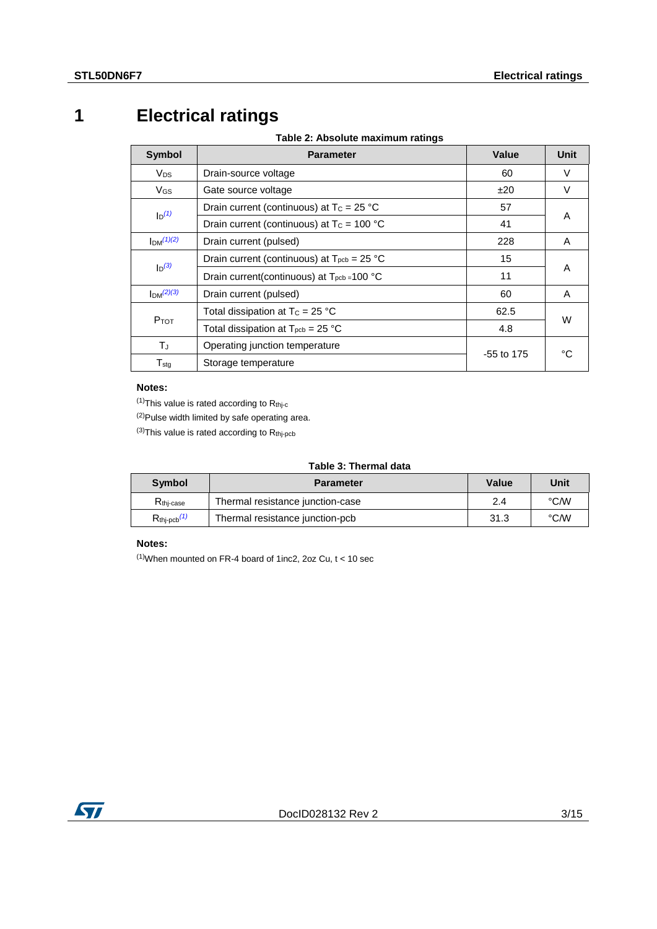# **1 Electrical ratings**

**Table 2: Absolute maximum ratings**

<span id="page-2-5"></span><span id="page-2-0"></span>

| <b>Symbol</b>                   | <b>Parameter</b>                                                    | Value        | Unit |
|---------------------------------|---------------------------------------------------------------------|--------------|------|
| <b>V<sub>DS</sub></b>           | Drain-source voltage                                                | 60           | V    |
| $V_{GS}$                        | Gate source voltage                                                 | ±20          | V    |
| $I_D(1)$                        | Drain current (continuous) at $T_c = 25 °C$                         | 57           |      |
|                                 | Drain current (continuous) at $T_c = 100 °C$                        | 41           | A    |
| $Im^{(1)(2)}$                   | Drain current (pulsed)                                              | 228          | A    |
| $\mathsf{I}_{\mathsf{D}}^{(3)}$ | Drain current (continuous) at $T_{\text{pcb}} = 25 \text{ °C}$      | 15           |      |
|                                 | Drain current(continuous) at $T_{\text{pcb}} = 100 \text{ °C}$      | 11           | A    |
| $Im^{(2)(3)}$                   | Drain current (pulsed)                                              | 60           | A    |
|                                 | Total dissipation at $T_c = 25 °C$                                  | 62.5         | W    |
| $P$ <sub>TOT</sub>              | Total dissipation at $T_{\text{pcb}} = 25 \text{ }^{\circ}\text{C}$ | 4.8          |      |
| $T_J$                           | Operating junction temperature                                      | $-55$ to 175 |      |
| $T_{\text{stg}}$                | Storage temperature                                                 |              | °C   |

### **Notes:**

<span id="page-2-1"></span> $(1)$ This value is rated according to  $R_{thj-c}$ 

<span id="page-2-3"></span>(2)Pulse width limited by safe operating area.

<span id="page-2-2"></span> $^{(3)}$ This value is rated according to  $R_{thj-pcb}$ 

## **Table 3: Thermal data**

| <b>Symbol</b>              | <b>Parameter</b>                 | <b>Value</b> | Unit |
|----------------------------|----------------------------------|--------------|------|
| R <sub>thi-case</sub>      | Thermal resistance junction-case | 2.4          | °C/W |
| $R_{\text{thj-pcb}}^{(1)}$ | Thermal resistance junction-pcb  | 31.3         | °C/W |

## **Notes:**

<span id="page-2-4"></span> $(1)$ When mounted on FR-4 board of 1inc2, 2oz Cu,  $t < 10$  sec

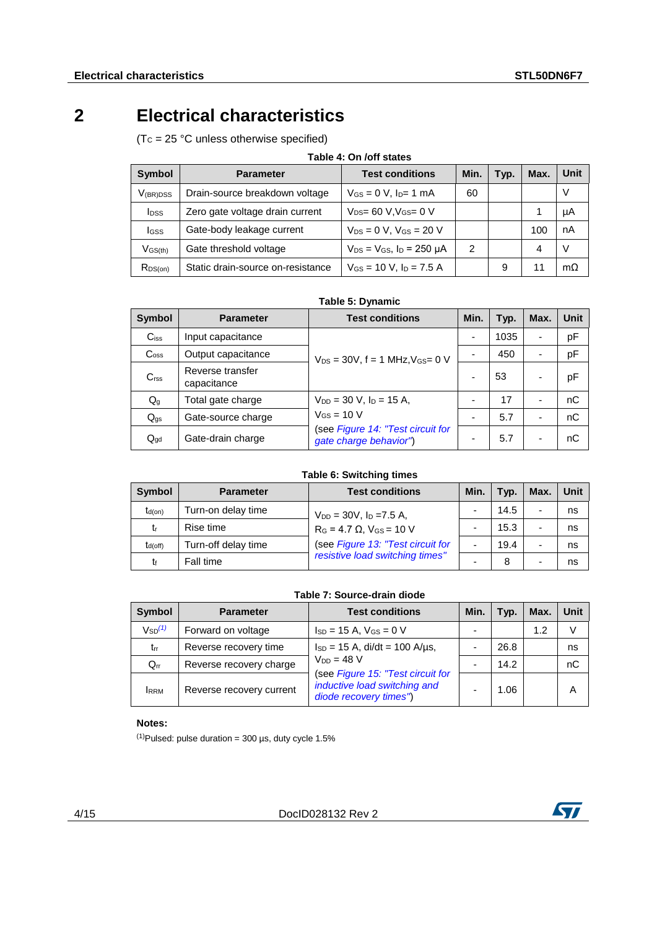# **2 Electrical characteristics**

<span id="page-3-0"></span> $(Tc = 25 °C$  unless otherwise specified)

|                         | 1896 - 911/911 3886               |                                           |      |      |      |             |
|-------------------------|-----------------------------------|-------------------------------------------|------|------|------|-------------|
| <b>Symbol</b>           | <b>Parameter</b>                  | <b>Test conditions</b>                    | Min. | Typ. | Max. | <b>Unit</b> |
| $V_{(BR)DSS}$           | Drain-source breakdown voltage    | $V_{GS} = 0 V$ , $I_{D} = 1 mA$           | 60   |      |      | V           |
| <b>I</b> <sub>DSS</sub> | Zero gate voltage drain current   | $V_{DS} = 60 V$ , $V_{GS} = 0 V$          |      |      |      | μA          |
| lgss                    | Gate-body leakage current         | $V_{DS} = 0 V$ , $V_{GS} = 20 V$          |      |      | 100  | nA          |
| $V$ <sub>GS(th)</sub>   | Gate threshold voltage            | $V_{DS}$ = $V_{GS}$ , $I_D$ = 250 $\mu$ A | 2    |      | 4    | V           |
| $R_{DS(on)}$            | Static drain-source on-resistance | $V_{GS}$ = 10 V, $I_D$ = 7.5 A            |      | 9    | 11   | $m\Omega$   |

## **Table 4: On /off states**

| Table 5: Dynamic |  |  |
|------------------|--|--|
|------------------|--|--|

| <b>Symbol</b>      | <b>Parameter</b>                | <b>Test conditions</b>                                      | Min. | Typ. | Max. | Unit |
|--------------------|---------------------------------|-------------------------------------------------------------|------|------|------|------|
| $C$ <sub>iss</sub> | Input capacitance               |                                                             | -    | 1035 |      | pF   |
| C <sub>oss</sub>   | Output capacitance              | $V_{DS} = 30V$ , f = 1 MHz, $V_{GS} = 0 V$                  |      | 450  |      | pF   |
| C <sub>rss</sub>   | Reverse transfer<br>capacitance |                                                             |      | 53   |      | рF   |
| $Q_{g}$            | Total gate charge               | $V_{DD} = 30$ V, $I_D = 15$ A,                              |      | 17   |      | nC   |
| $Q_{gs}$           | Gate-source charge              | $V$ <sub>GS</sub> = 10 V                                    |      | 5.7  |      | nC   |
| $Q_{\text{qd}}$    | Gate-drain charge               | (see Figure 14: "Test circuit for<br>gate charge behavior") |      | 5.7  |      | nС   |

**Table 6: Switching times**

| <b>Symbol</b> | <b>Parameter</b>    | <b>Test conditions</b>               | Min. | Typ. | Max. | Unit |
|---------------|---------------------|--------------------------------------|------|------|------|------|
| $t_{d(on)}$   | Turn-on delay time  | $V_{DD} = 30V$ , $I_D = 7.5 A$ ,     |      | 14.5 |      | ns   |
| tr            | Rise time           | $R_G = 4.7 \Omega$ , $V_{GS} = 10 V$ |      | 15.3 |      | ns   |
| $t_{d(off)}$  | Turn-off delay time | (see Figure 13: "Test circuit for    | -    | 19.4 |      | ns   |
| tŧ            | Fall time           | resistive load switching times"      | -    | 8    |      | ns   |

### **Table 7: Source-drain diode**

| Symbol                  | <b>Parameter</b>         | <b>Test conditions</b>                                                                      | Min. | Typ. | Max. | Unit |
|-------------------------|--------------------------|---------------------------------------------------------------------------------------------|------|------|------|------|
| $V_{SD}$ <sup>(1)</sup> | Forward on voltage       | $I_{SD} = 15$ A, $V_{GS} = 0$ V                                                             |      |      | 1.2  |      |
| $t_{rr}$                | Reverse recovery time    | $I_{SD} = 15$ A, di/dt = 100 A/us,                                                          |      | 26.8 |      | ns   |
| $Q_{rr}$                | Reverse recovery charge  | $V_{DD} = 48 V$                                                                             |      | 14.2 |      | nС   |
| <b>IRRM</b>             | Reverse recovery current | (see Figure 15: "Test circuit for<br>inductive load switching and<br>diode recovery times") |      | 1.06 |      | А    |

### **Notes:**

<span id="page-3-1"></span> $^{(1)}$ Pulsed: pulse duration = 300 µs, duty cycle 1.5%

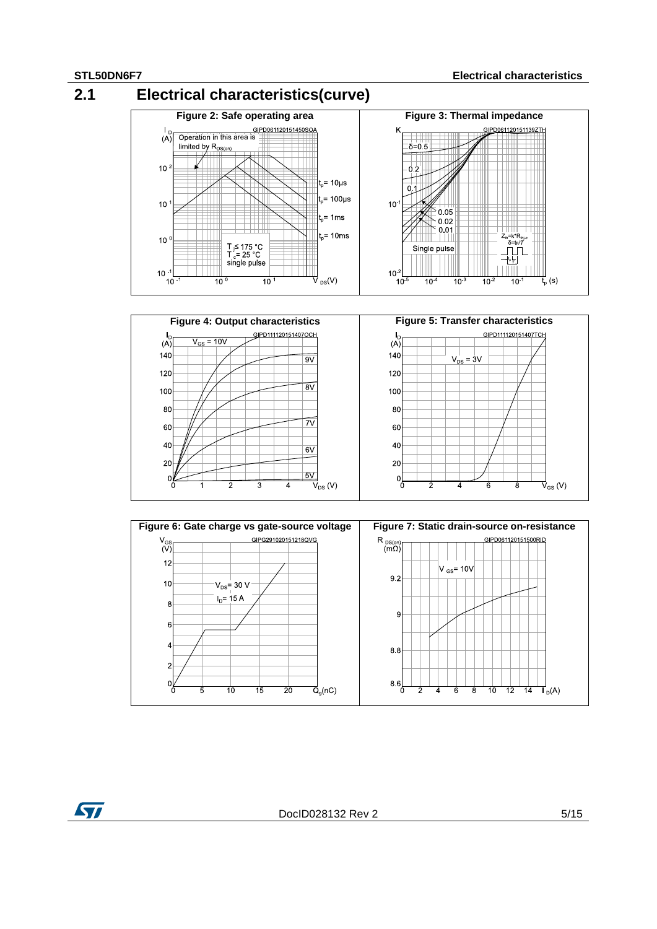<span id="page-4-0"></span>





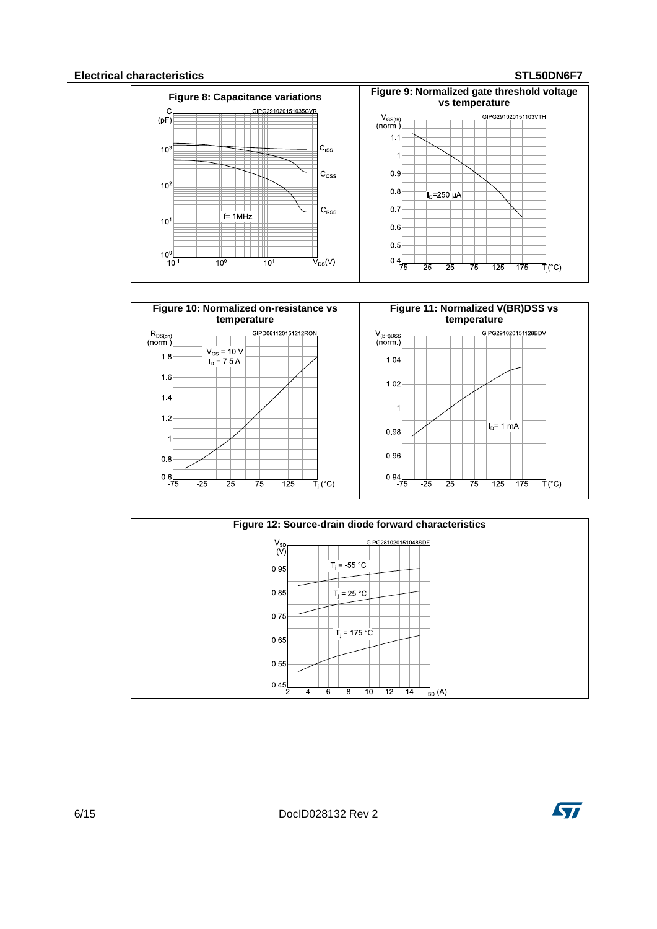## **Electrical characteristics STL50DN6F7**









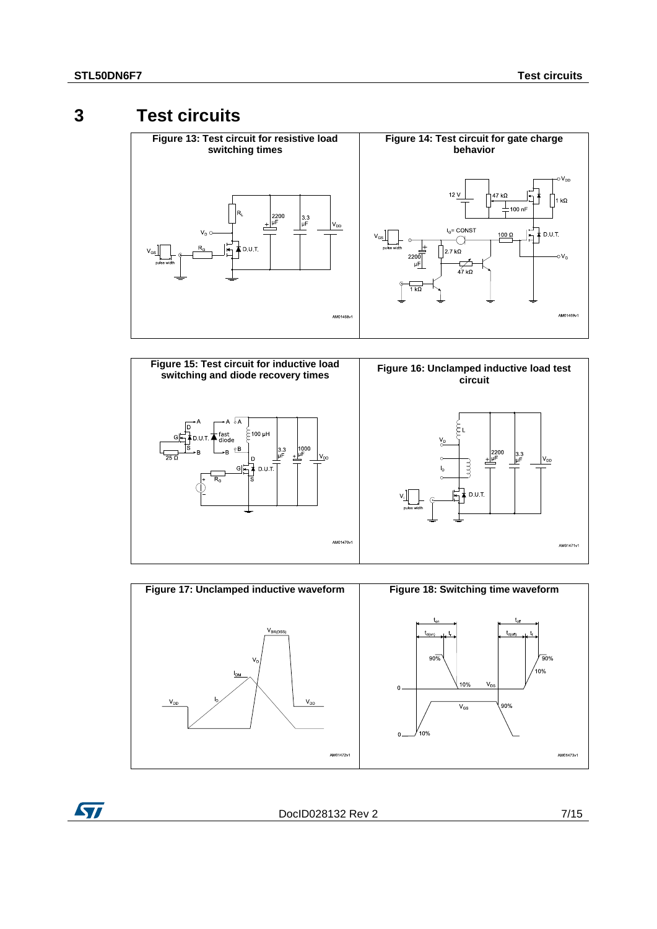ST

# **3 Test circuits**

<span id="page-6-2"></span><span id="page-6-1"></span><span id="page-6-0"></span>

<span id="page-6-3"></span>



DocID028132 Rev 2 7/15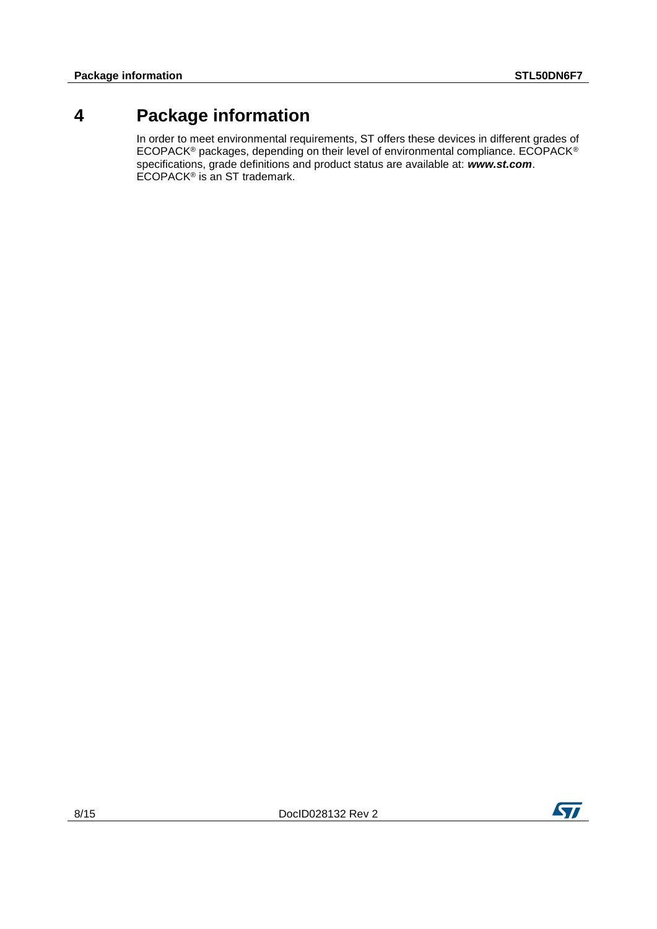# **4 Package information**

<span id="page-7-0"></span>In order to meet environmental requirements, ST offers these devices in different grades of ECOPACK® packages, depending on their level of environmental compliance. ECOPACK® specifications, grade definitions and product status are available at: *www.st.com*. ECOPACK<sup>®</sup> is an ST trademark.

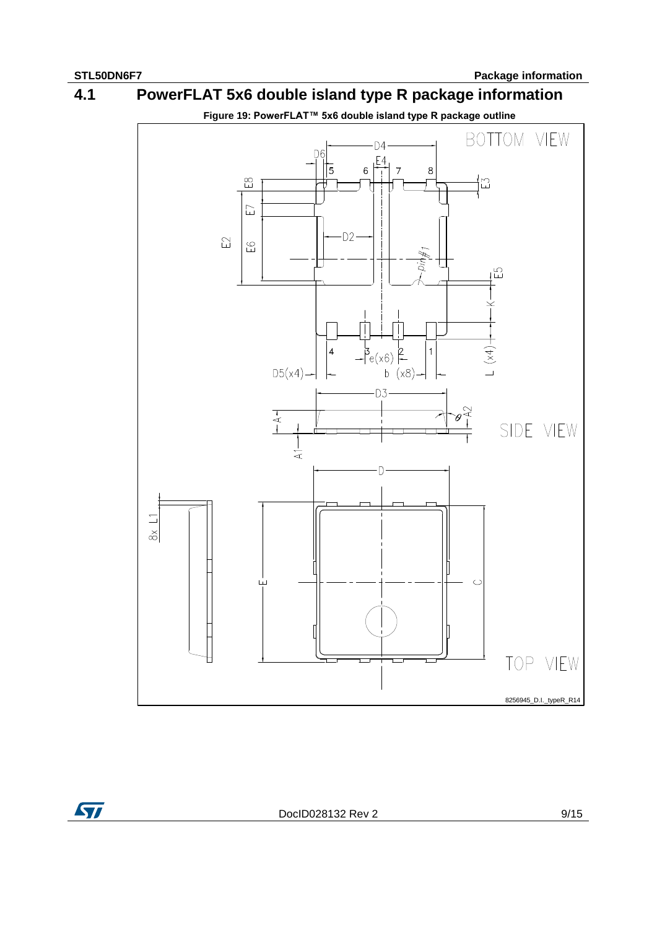# <span id="page-8-0"></span>**Figure 19: PowerFLAT™ 5x6 double island type R package outline** BOTTOM VIEW  $D4$ D<sub>6</sub>  $E4$ 15 6  $\overline{7}$ 8 ī  $\mathbb{E}^{\infty}$  $\Xi$  $\overline{\Box}$  $-D2$ E2  $E$  $\lim_{n\to\infty}$ 입.  $\pm$  (x4)  $\pm$  $-\frac{3}{e(x6)}$  2  $\overline{4}$  $\overline{1}$  $D5(x4)$  $b(x8)$ -D3  $\overline{+}$  A  $\overline{-}$  $-12$ SIDE VIEW  $\frac{1}{4}$  $8x \perp1$  $\mathbb{C}$  $\sqcup$ TOP VIEW 8256945\_D.I.\_typeR\_R14

# **4.1 PowerFLAT 5x6 double island type R package information**

DocID028132 Rev 2 9/15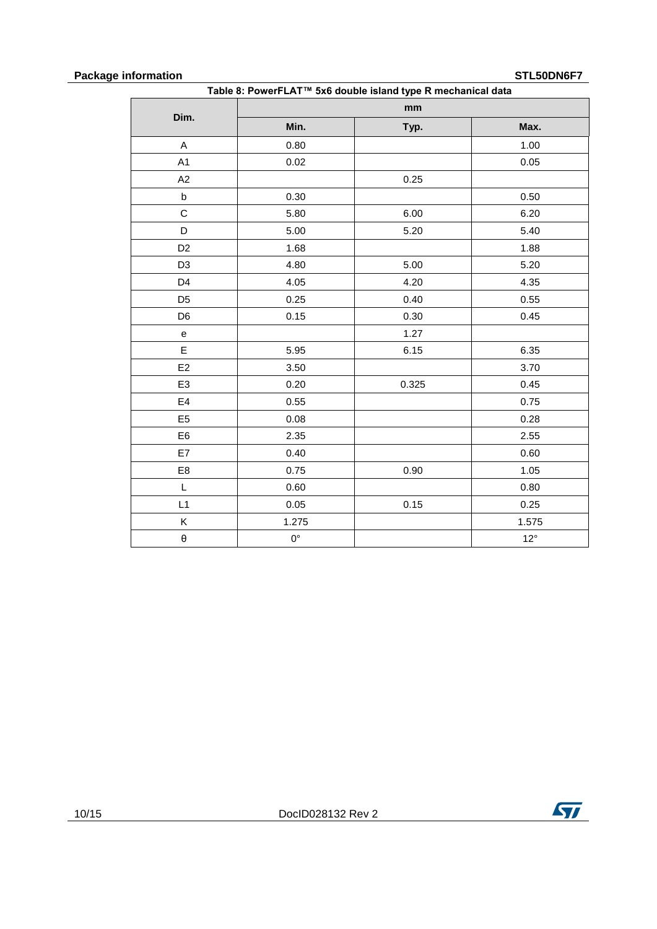## **Package information STL50DN6F7**

| Table 8: PowerFLAT™ 5x6 double island type R mechanical data |             |       |              |
|--------------------------------------------------------------|-------------|-------|--------------|
| Dim.                                                         |             | mm    |              |
|                                                              | Min.        | Typ.  | Max.         |
| A                                                            | 0.80        |       | 1.00         |
| A <sub>1</sub>                                               | 0.02        |       | 0.05         |
| A2                                                           |             | 0.25  |              |
| $\sf b$                                                      | 0.30        |       | 0.50         |
| C                                                            | 5.80        | 6.00  | 6.20         |
| D                                                            | 5.00        | 5.20  | 5.40         |
| D <sub>2</sub>                                               | 1.68        |       | 1.88         |
| D <sub>3</sub>                                               | 4.80        | 5.00  | 5.20         |
| D <sub>4</sub>                                               | 4.05        | 4.20  | 4.35         |
| D <sub>5</sub>                                               | 0.25        | 0.40  | 0.55         |
| D <sub>6</sub>                                               | 0.15        | 0.30  | 0.45         |
| e                                                            |             | 1.27  |              |
| E                                                            | 5.95        | 6.15  | 6.35         |
| E <sub>2</sub>                                               | 3.50        |       | 3.70         |
| E <sub>3</sub>                                               | 0.20        | 0.325 | 0.45         |
| E4                                                           | 0.55        |       | 0.75         |
| E <sub>5</sub>                                               | 0.08        |       | 0.28         |
| E <sub>6</sub>                                               | 2.35        |       | 2.55         |
| E7                                                           | 0.40        |       | 0.60         |
| E8                                                           | 0.75        | 0.90  | 1.05         |
| L                                                            | 0.60        |       | 0.80         |
| L1                                                           | 0.05        | 0.15  | 0.25         |
| Κ                                                            | 1.275       |       | 1.575        |
| θ                                                            | $0^{\circ}$ |       | $12^{\circ}$ |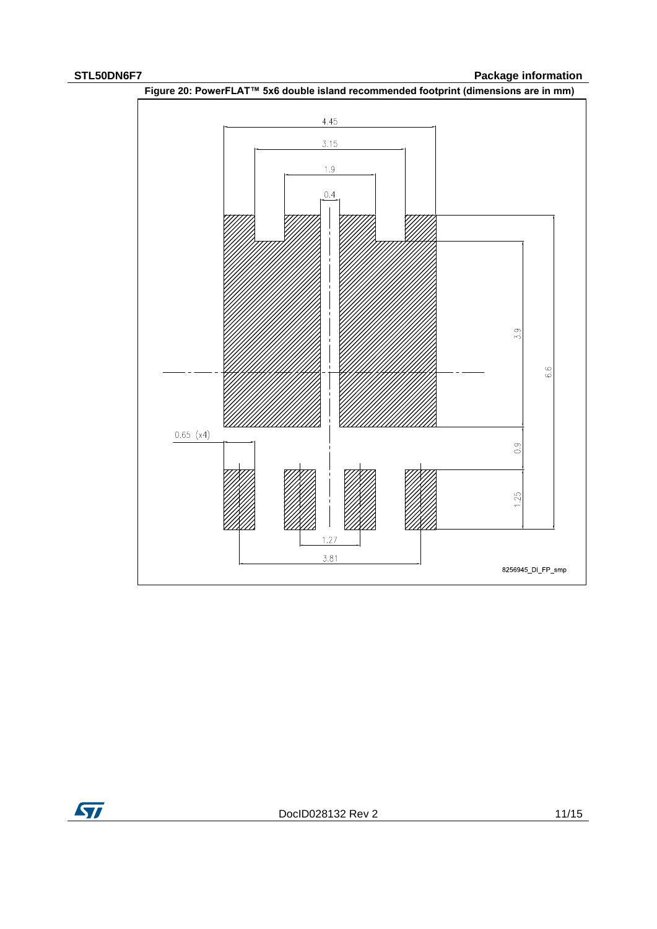**STL50DN6F7 Package information**





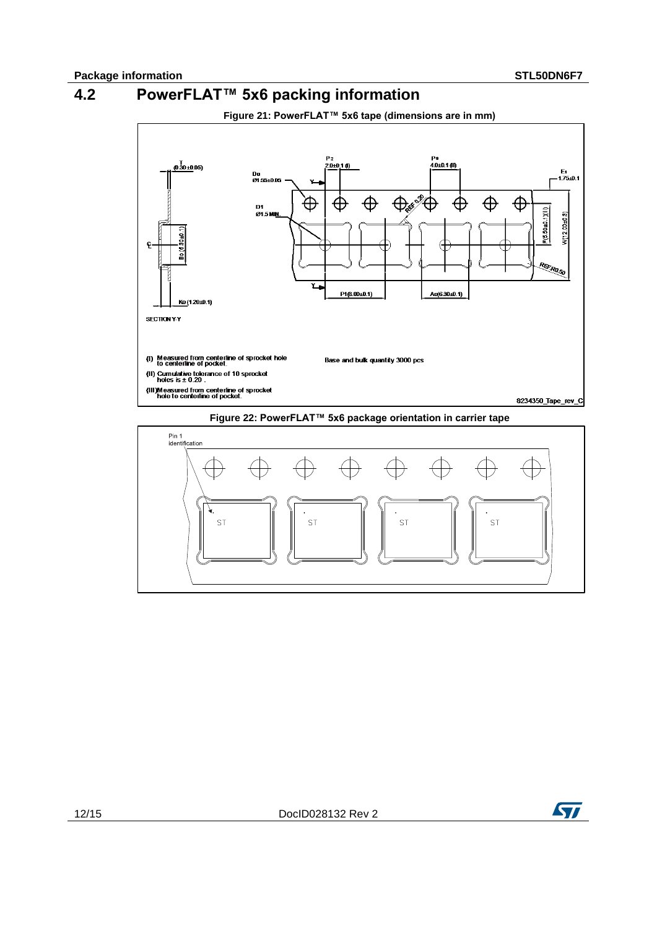# **4.2 PowerFLAT™ 5x6 packing information**

<span id="page-11-0"></span>

**Figure 22: PowerFLAT™ 5x6 package orientation in carrier tape**



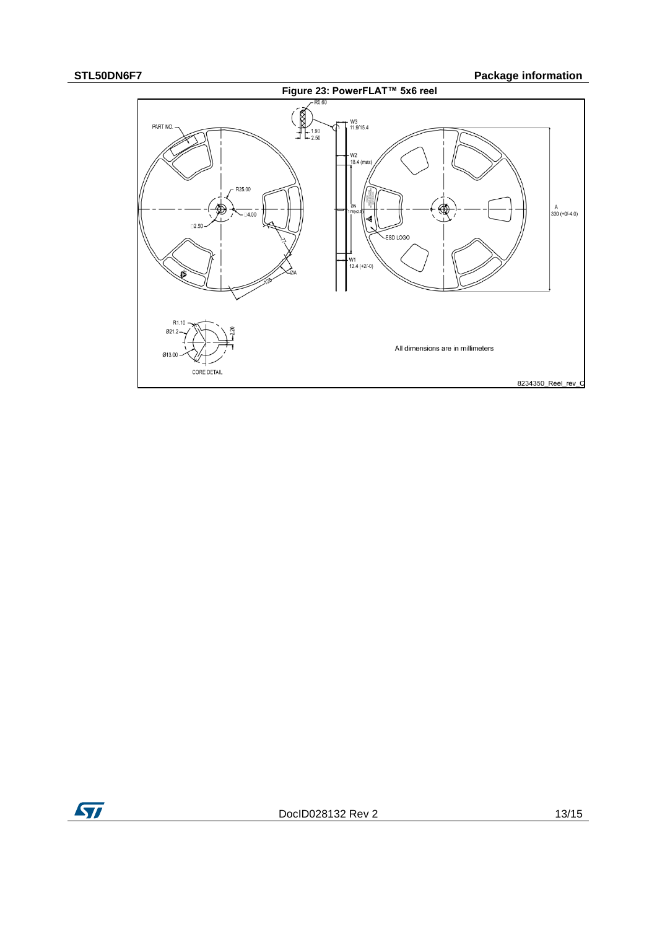## **STL50DN6F7 Package information**



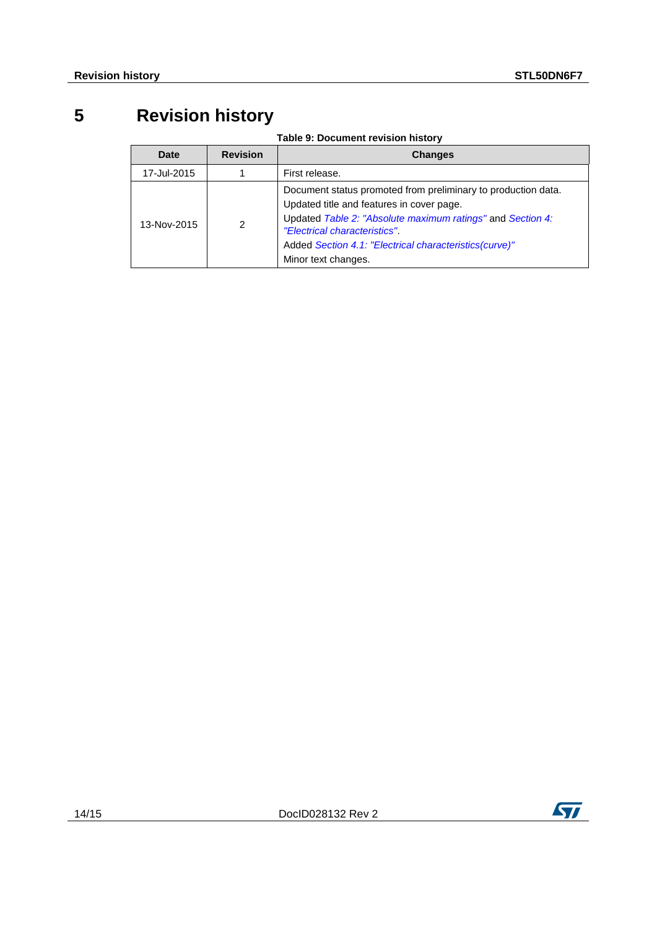# **5 Revision history**

**Table 9: Document revision history**

<span id="page-13-0"></span>

| Date        | <b>Revision</b> | <b>Changes</b>                                                                                                                                                                                                                                                                            |
|-------------|-----------------|-------------------------------------------------------------------------------------------------------------------------------------------------------------------------------------------------------------------------------------------------------------------------------------------|
| 17-Jul-2015 |                 | First release.                                                                                                                                                                                                                                                                            |
| 13-Nov-2015 | 2               | Document status promoted from preliminary to production data.<br>Updated title and features in cover page.<br>Updated Table 2: "Absolute maximum ratings" and Section 4:<br>"Electrical characteristics"<br>Added Section 4.1: "Electrical characteristics(curve)"<br>Minor text changes. |